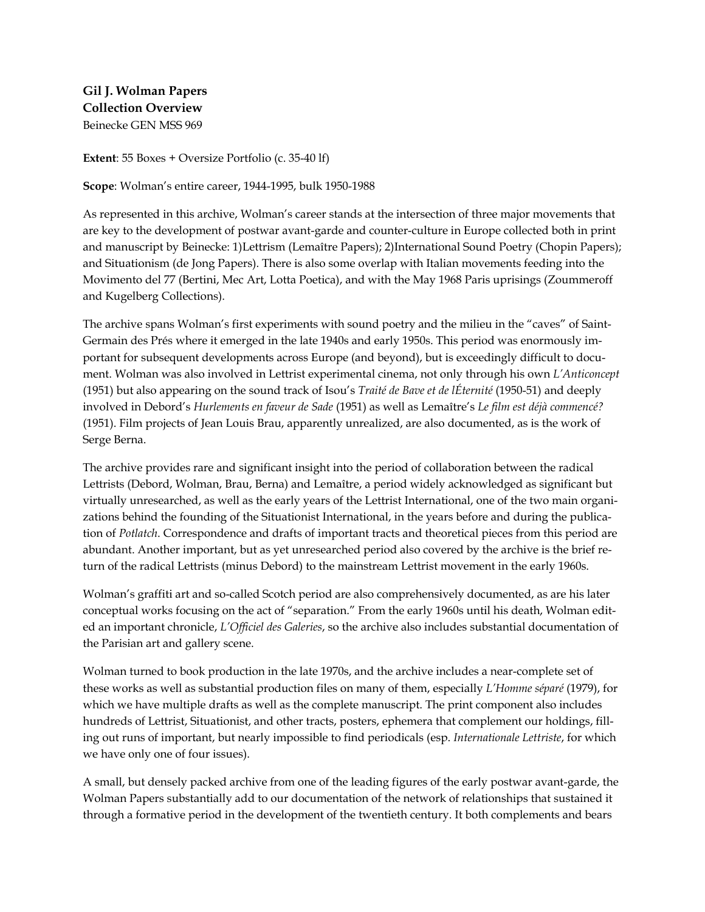**Gil J. Wolman Papers Collection Overview** Beinecke GEN MSS 969

**Extent**: 55 Boxes + Oversize Portfolio (c. 35-40 lf)

**Scope**: Wolman's entire career, 1944-1995, bulk 1950-1988

As represented in this archive, Wolman's career stands at the intersection of three major movements that are key to the development of postwar avant-garde and counter-culture in Europe collected both in print and manuscript by Beinecke: 1)Lettrism (Lemaître Papers); 2)International Sound Poetry (Chopin Papers); and Situationism (de Jong Papers). There is also some overlap with Italian movements feeding into the Movimento del 77 (Bertini, Mec Art, Lotta Poetica), and with the May 1968 Paris uprisings (Zoummeroff and Kugelberg Collections).

The archive spans Wolman's first experiments with sound poetry and the milieu in the "caves" of Saint-Germain des Prés where it emerged in the late 1940s and early 1950s. This period was enormously important for subsequent developments across Europe (and beyond), but is exceedingly difficult to document. Wolman was also involved in Lettrist experimental cinema, not only through his own *L'Anticoncept* (1951) but also appearing on the sound track of Isou's *Traité de Bave et de lÉternité* (1950-51) and deeply involved in Debord's *Hurlements en faveur de Sade* (1951) as well as Lemaître's *Le film est déjà commencé?* (1951). Film projects of Jean Louis Brau, apparently unrealized, are also documented, as is the work of Serge Berna.

The archive provides rare and significant insight into the period of collaboration between the radical Lettrists (Debord, Wolman, Brau, Berna) and Lemaître, a period widely acknowledged as significant but virtually unresearched, as well as the early years of the Lettrist International, one of the two main organizations behind the founding of the Situationist International, in the years before and during the publication of *Potlatch*. Correspondence and drafts of important tracts and theoretical pieces from this period are abundant. Another important, but as yet unresearched period also covered by the archive is the brief return of the radical Lettrists (minus Debord) to the mainstream Lettrist movement in the early 1960s.

Wolman's graffiti art and so-called Scotch period are also comprehensively documented, as are his later conceptual works focusing on the act of "separation." From the early 1960s until his death, Wolman edited an important chronicle, *L'Officiel des Galeries*, so the archive also includes substantial documentation of the Parisian art and gallery scene.

Wolman turned to book production in the late 1970s, and the archive includes a near-complete set of these works as well as substantial production files on many of them, especially *L'Homme séparé* (1979), for which we have multiple drafts as well as the complete manuscript. The print component also includes hundreds of Lettrist, Situationist, and other tracts, posters, ephemera that complement our holdings, filling out runs of important, but nearly impossible to find periodicals (esp. *Internationale Lettriste*, for which we have only one of four issues).

A small, but densely packed archive from one of the leading figures of the early postwar avant-garde, the Wolman Papers substantially add to our documentation of the network of relationships that sustained it through a formative period in the development of the twentieth century. It both complements and bears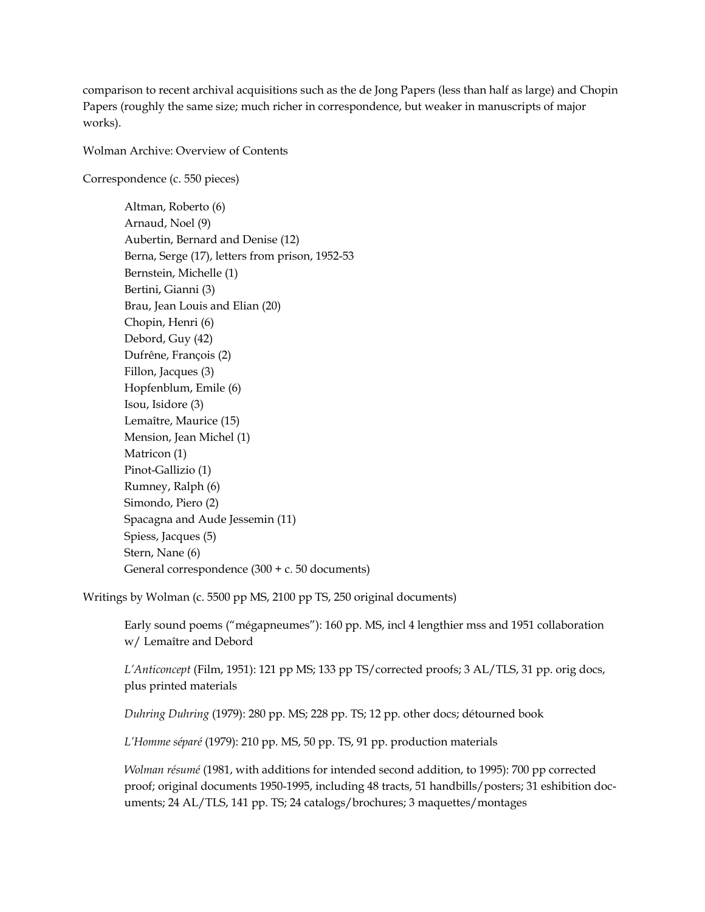comparison to recent archival acquisitions such as the de Jong Papers (less than half as large) and Chopin Papers (roughly the same size; much richer in correspondence, but weaker in manuscripts of major works).

Wolman Archive: Overview of Contents

Correspondence (c. 550 pieces)

Altman, Roberto (6) Arnaud, Noel (9) Aubertin, Bernard and Denise (12) Berna, Serge (17), letters from prison, 1952-53 Bernstein, Michelle (1) Bertini, Gianni (3) Brau, Jean Louis and Elian (20) Chopin, Henri (6) Debord, Guy (42) Dufrêne, François (2) Fillon, Jacques (3) Hopfenblum, Emile (6) Isou, Isidore (3) Lemaître, Maurice (15) Mension, Jean Michel (1) Matricon (1) Pinot-Gallizio (1) Rumney, Ralph (6) Simondo, Piero (2) Spacagna and Aude Jessemin (11) Spiess, Jacques (5) Stern, Nane (6) General correspondence (300 + c. 50 documents)

Writings by Wolman (c. 5500 pp MS, 2100 pp TS, 250 original documents)

Early sound poems ("mégapneumes"): 160 pp. MS, incl 4 lengthier mss and 1951 collaboration w/ Lemaître and Debord

*L'Anticoncept* (Film, 1951): 121 pp MS; 133 pp TS/corrected proofs; 3 AL/TLS, 31 pp. orig docs, plus printed materials

*Duhring Duhring* (1979): 280 pp. MS; 228 pp. TS; 12 pp. other docs; détourned book

*L'Homme séparé* (1979): 210 pp. MS, 50 pp. TS, 91 pp. production materials

*Wolman résumé* (1981, with additions for intended second addition, to 1995): 700 pp corrected proof; original documents 1950-1995, including 48 tracts, 51 handbills/posters; 31 eshibition documents; 24 AL/TLS, 141 pp. TS; 24 catalogs/brochures; 3 maquettes/montages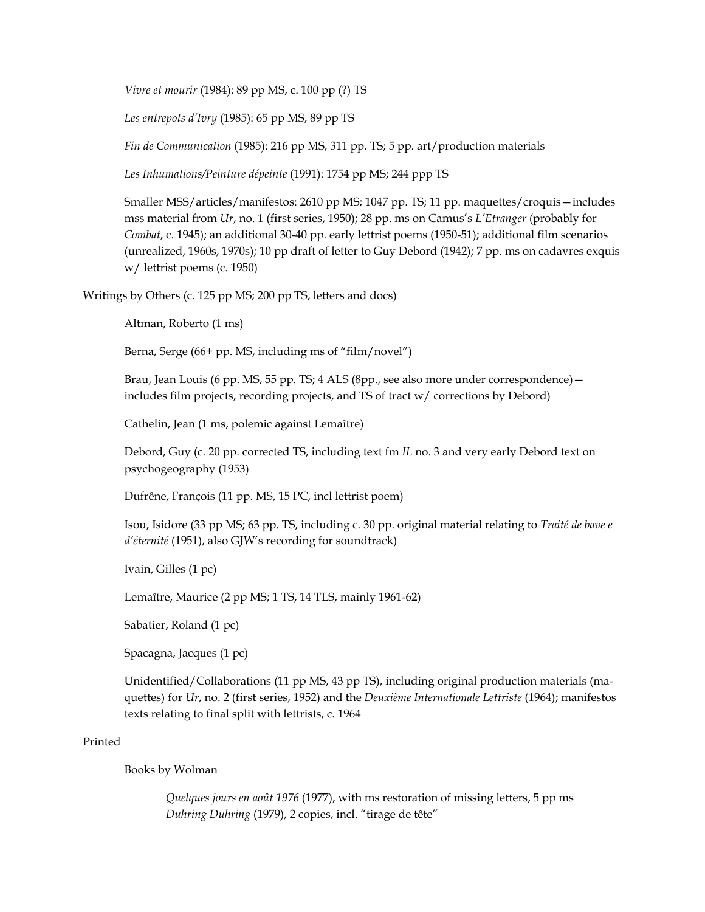*Vivre et mourir* (1984): 89 pp MS, c. 100 pp (?) TS

*Les entrepots d'Ivry* (1985): 65 pp MS, 89 pp TS

*Fin de Communication* (1985): 216 pp MS, 311 pp. TS; 5 pp. art/production materials

*Les Inhumations/Peinture dépeinte* (1991): 1754 pp MS; 244 ppp TS

Smaller MSS/articles/manifestos: 2610 pp MS; 1047 pp. TS; 11 pp. maquettes/croquis—includes mss material from *Ur*, no. 1 (first series, 1950); 28 pp. ms on Camus's *L'Etranger* (probably for *Combat*, c. 1945); an additional 30-40 pp. early lettrist poems (1950-51); additional film scenarios (unrealized, 1960s, 1970s); 10 pp draft of letter to Guy Debord (1942); 7 pp. ms on cadavres exquis w/ lettrist poems (c. 1950)

Writings by Others (c. 125 pp MS; 200 pp TS, letters and docs)

Altman, Roberto (1 ms)

Berna, Serge (66+ pp. MS, including ms of "film/novel")

Brau, Jean Louis (6 pp. MS, 55 pp. TS; 4 ALS (8pp., see also more under correspondence) includes film projects, recording projects, and TS of tract w/ corrections by Debord)

Cathelin, Jean (1 ms, polemic against Lemaître)

Debord, Guy (c. 20 pp. corrected TS, including text fm *IL* no. 3 and very early Debord text on psychogeography (1953)

Dufrêne, François (11 pp. MS, 15 PC, incl lettrist poem)

Isou, Isidore (33 pp MS; 63 pp. TS, including c. 30 pp. original material relating to *Traité de bave e d'éternité* (1951), also GJW's recording for soundtrack)

Ivain, Gilles (1 pc)

Lemaître, Maurice (2 pp MS; 1 TS, 14 TLS, mainly 1961-62)

Sabatier, Roland (1 pc)

Spacagna, Jacques (1 pc)

Unidentified/Collaborations (11 pp MS, 43 pp TS), including original production materials (maquettes) for *Ur*, no. 2 (first series, 1952) and the *Deuxième Internationale Lettriste* (1964); manifestos texts relating to final split with lettrists, c. 1964

## Printed

Books by Wolman

*Quelques jours en août 1976* (1977), with ms restoration of missing letters, 5 pp ms *Duhring Duhring* (1979), 2 copies, incl. "tirage de tête"